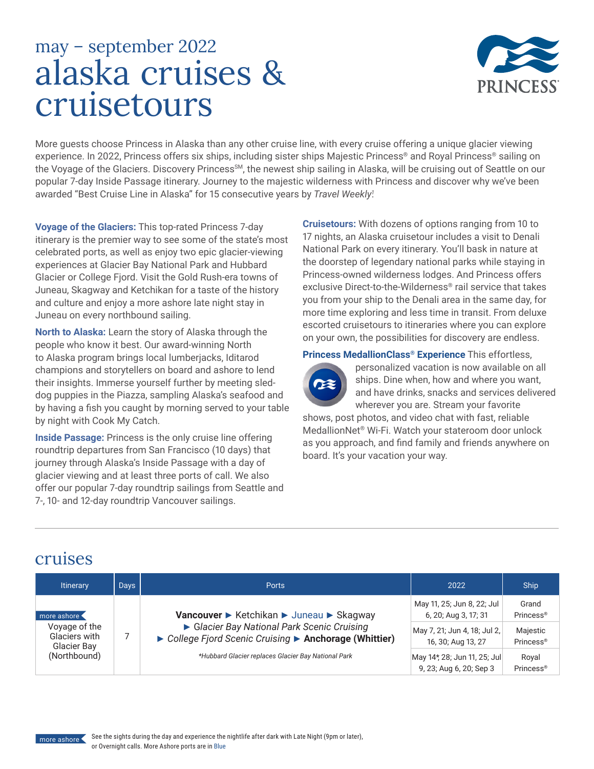# alaska cruises & cruisetours may – september 2022



More guests choose Princess in Alaska than any other cruise line, with every cruise offering a unique glacier viewing experience. In 2022, Princess offers six ships, including sister ships Majestic Princess® and Royal Princess® sailing on the Voyage of the Glaciers. Discovery Princess<sup>sM</sup>, the newest ship sailing in Alaska, will be cruising out of Seattle on our popular 7-day Inside Passage itinerary. Journey to the majestic wilderness with Princess and discover why we've been awarded "Best Cruise Line in Alaska" for 15 consecutive years by *Travel Weekly<sup>1</sup> .*

**Voyage of the Glaciers:** This top-rated Princess 7-day itinerary is the premier way to see some of the state's most celebrated ports, as well as enjoy two epic glacier-viewing experiences at Glacier Bay National Park and Hubbard Glacier or College Fjord. Visit the Gold Rush-era towns of Juneau, Skagway and Ketchikan for a taste of the history and culture and enjoy a more ashore late night stay in Juneau on every northbound sailing.

**North to Alaska:** Learn the story of Alaska through the people who know it best. Our award-winning North to Alaska program brings local lumberjacks, Iditarod champions and storytellers on board and ashore to lend their insights. Immerse yourself further by meeting sleddog puppies in the Piazza, sampling Alaska's seafood and by having a fish you caught by morning served to your table by night with Cook My Catch.

**Inside Passage:** Princess is the only cruise line offering roundtrip departures from San Francisco (10 days) that journey through Alaska's Inside Passage with a day of glacier viewing and at least three ports of call. We also offer our popular 7-day roundtrip sailings from Seattle and 7-, 10- and 12-day roundtrip Vancouver sailings.

**Cruisetours:** With dozens of options ranging from 10 to 17 nights, an Alaska cruisetour includes a visit to Denali National Park on every itinerary. You'll bask in nature at the doorstep of legendary national parks while staying in Princess-owned wilderness lodges. And Princess offers exclusive Direct-to-the-Wilderness® rail service that takes you from your ship to the Denali area in the same day, for more time exploring and less time in transit. From deluxe escorted cruisetours to itineraries where you can explore on your own, the possibilities for discovery are endless.

**Princess MedallionClass® Experience** This effortless,



personalized vacation is now available on all ships. Dine when, how and where you want, and have drinks, snacks and services delivered wherever you are. Stream your favorite

shows, post photos, and video chat with fast, reliable MedallionNet® Wi-Fi. Watch your stateroom door unlock as you approach, and find family and friends anywhere on board. It's your vacation your way.

#### cruises

| <b>Itinerary</b>                                                             | Days | <b>Ports</b>                                                                                                                                                                                           | 2022                                                                                                                                     | <b>Ship</b>                                                                  |
|------------------------------------------------------------------------------|------|--------------------------------------------------------------------------------------------------------------------------------------------------------------------------------------------------------|------------------------------------------------------------------------------------------------------------------------------------------|------------------------------------------------------------------------------|
| more ashore<br>Voyage of the<br>Glaciers with<br>Glacier Bay<br>(Northbound) |      | Vancouver ► Ketchikan ► Juneau ► Skagway<br>Glacier Bay National Park Scenic Cruising<br>▶ College Fjord Scenic Cruising ▶ Anchorage (Whittier)<br>*Hubbard Glacier replaces Glacier Bay National Park | May 11, 25; Jun 8, 22; Jul<br>6, 20; Aug 3, 17; 31<br>May 7, 21; Jun 4, 18; Jul 2,<br>16, 30; Aug 13, 27<br>May 14*, 28; Jun 11, 25; Jul | Grand<br>Princess <sup>®</sup><br>Majestic<br>Princess <sup>®</sup><br>Royal |
|                                                                              |      |                                                                                                                                                                                                        | 9, 23; Aug 6, 20; Sep 3                                                                                                                  | Princess <sup>®</sup>                                                        |

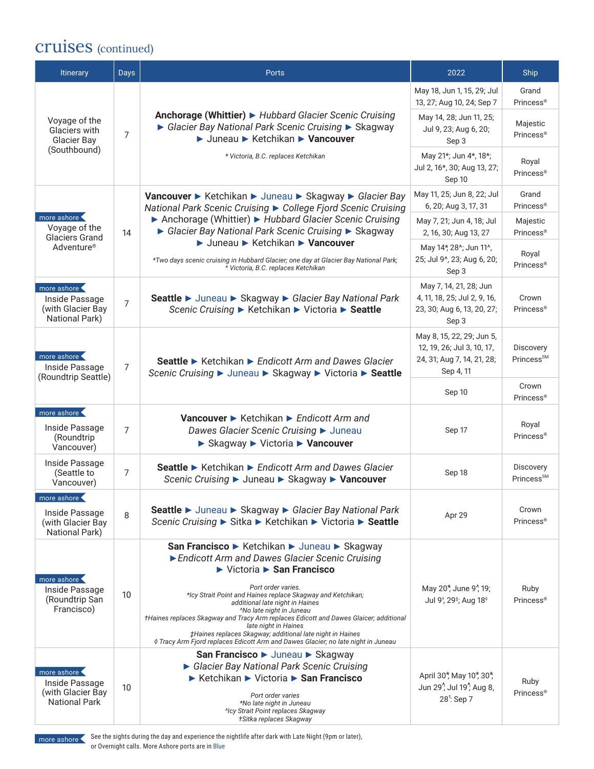#### cruises (continued)

| <b>Itinerary</b>                                                           | <b>Days</b>     | <b>Ports</b>                                                                                                                                                                                                                                                                                                                                                                                                                                                                                                                                                                                  | 2022                                                                                                          | Ship                                |
|----------------------------------------------------------------------------|-----------------|-----------------------------------------------------------------------------------------------------------------------------------------------------------------------------------------------------------------------------------------------------------------------------------------------------------------------------------------------------------------------------------------------------------------------------------------------------------------------------------------------------------------------------------------------------------------------------------------------|---------------------------------------------------------------------------------------------------------------|-------------------------------------|
|                                                                            |                 |                                                                                                                                                                                                                                                                                                                                                                                                                                                                                                                                                                                               | May 18, Jun 1, 15, 29; Jul<br>13, 27; Aug 10, 24; Sep 7                                                       | Grand<br>Princess <sup>®</sup>      |
| Voyage of the<br>Glaciers with<br>Glacier Bay                              | $\overline{7}$  | Anchorage (Whittier) ► Hubbard Glacier Scenic Cruising<br>► Glacier Bay National Park Scenic Cruising ► Skagway<br>→ Juneau → Ketchikan → Vancouver                                                                                                                                                                                                                                                                                                                                                                                                                                           | May 14, 28; Jun 11, 25;<br>Jul 9, 23; Aug 6, 20;<br>Sep 3                                                     | Majestic<br>Princess <sup>®</sup>   |
| (Southbound)                                                               |                 | * Victoria, B.C. replaces Ketchikan                                                                                                                                                                                                                                                                                                                                                                                                                                                                                                                                                           | May 21*; Jun 4*, 18*;<br>Jul 2, 16*, 30; Aug 13, 27;<br>Sep 10                                                | Royal<br>Princess <sup>®</sup>      |
|                                                                            |                 | Vancouver ► Ketchikan ► Juneau ► Skagway ► Glacier Bay<br>National Park Scenic Cruising ▶ College Fjord Scenic Cruising                                                                                                                                                                                                                                                                                                                                                                                                                                                                       | May 11, 25; Jun 8, 22; Jul<br>6, 20; Aug 3, 17, 31                                                            | Grand<br>Princess <sup>®</sup>      |
| more ashore<br>Voyage of the<br><b>Glaciers Grand</b>                      | 14              | ▶ Anchorage (Whittier) ▶ Hubbard Glacier Scenic Cruising<br>► Glacier Bay National Park Scenic Cruising ► Skagway                                                                                                                                                                                                                                                                                                                                                                                                                                                                             | May 7, 21; Jun 4, 18; Jul<br>2, 16, 30; Aug 13, 27                                                            | Majestic<br>Princess <sup>®</sup>   |
| Adventure <sup>®</sup>                                                     |                 | ▶ Juneau ▶ Ketchikan ▶ Vancouver<br>*Two days scenic cruising in Hubbard Glacier; one day at Glacier Bay National Park;<br><sup>^</sup> Victoria, B.C. replaces Ketchikan                                                                                                                                                                                                                                                                                                                                                                                                                     | May 14*, 28^; Jun 11^,<br>25; Jul 9^, 23; Aug 6, 20;<br>Sep 3                                                 | Royal<br>Princess <sup>®</sup>      |
| more ashore<br>Inside Passage<br>(with Glacier Bay<br>National Park)       | $\overline{7}$  | Seattle ► Juneau ► Skagway ► Glacier Bay National Park<br>Scenic Cruising ► Ketchikan ► Victoria ► Seattle                                                                                                                                                                                                                                                                                                                                                                                                                                                                                    | May 7, 14, 21, 28; Jun<br>4, 11, 18, 25; Jul 2, 9, 16,<br>23, 30; Aug 6, 13, 20, 27;<br>Sep 3                 | Crown<br><b>Princess®</b>           |
| more ashore<br>Inside Passage                                              | $\overline{7}$  | Seattle ► Ketchikan ► Endicott Arm and Dawes Glacier<br>Scenic Cruising ► Juneau ► Skagway ► Victoria ► Seattle                                                                                                                                                                                                                                                                                                                                                                                                                                                                               | May 8, 15, 22, 29; Jun 5,<br>12, 19, 26; Jul 3, 10, 17,<br>24, 31; Aug 7, 14, 21, 28;<br>Sep 4, 11            | Discovery<br>Princess <sup>SM</sup> |
| (Roundtrip Seattle)                                                        |                 |                                                                                                                                                                                                                                                                                                                                                                                                                                                                                                                                                                                               | Sep 10                                                                                                        | Crown<br>Princess <sup>®</sup>      |
| more ashore<br>Inside Passage<br>(Roundtrip<br>Vancouver)                  | $\overline{7}$  | <b>Vancouver &gt;</b> Ketchikan $\triangleright$ Endicott Arm and<br>Dawes Glacier Scenic Cruising > Juneau<br>▶ Skagway ▶ Victoria ▶ Vancouver                                                                                                                                                                                                                                                                                                                                                                                                                                               | Sep 17                                                                                                        | Royal<br>Princess <sup>®</sup>      |
| Inside Passage<br>(Seattle to<br>Vancouver)                                | $\overline{7}$  | Seattle ► Ketchikan ► Endicott Arm and Dawes Glacier<br>Scenic Cruising ► Juneau ► Skagway ► Vancouver                                                                                                                                                                                                                                                                                                                                                                                                                                                                                        | Sep 18                                                                                                        | Discovery<br>Princess <sup>SM</sup> |
| more ashore<br>Inside Passage<br>(with Glacier Bay<br>National Park)       | 8               | Seattle ► Juneau ► Skagway ► Glacier Bay National Park<br>Scenic Cruising ► Sitka ► Ketchikan ► Victoria ► Seattle                                                                                                                                                                                                                                                                                                                                                                                                                                                                            | Apr 29                                                                                                        | Crown<br>Princess <sup>®</sup>      |
| more ashore<br>Inside Passage<br>(Roundtrip San<br>Francisco)              | 10 <sup>1</sup> | San Francisco ► Ketchikan ► Juneau ► Skagway<br>Endicott Arm and Dawes Glacier Scenic Cruising<br>$\triangleright$ Victoria $\triangleright$ San Francisco<br>Port order varies.<br>*Icy Strait Point and Haines replace Skagway and Ketchikan;<br>additional late night in Haines<br><sup>^</sup> No late night in Juneau<br>tHaines replaces Skagway and Tracy Arm replaces Edicott and Dawes Glaicer; additional<br>late night in Haines<br>‡Haines replaces Skagway; additional late night in Haines<br>♦ Tracy Arm Fjord replaces Edicott Arm and Dawes Glacier; no late night in Juneau | May 20 <sup>*</sup> , June 9 <sup>*</sup> , 19;<br>Jul 9 <sup>†</sup> , 29 <sup>‡</sup> ; Aug 18 <sup>6</sup> | Ruby<br>Princess <sup>®</sup>       |
| more ashore<br>Inside Passage<br>(with Glacier Bay<br><b>National Park</b> | 10              | San Francisco > Juneau > Skagway<br>Glacier Bay National Park Scenic Cruising<br>► Ketchikan ► Victoria ► San Francisco<br>Port order varies<br>*No late night in Juneau<br><b>Mcy Strait Point replaces Skagway</b><br>†Sitka replaces Skagway                                                                                                                                                                                                                                                                                                                                               | April 30*, May 10*, 30*,<br>Jun 29 <sup>1</sup> , Jul 19 <sup>1</sup> , Aug 8,<br>28 <sup>t</sup> : Sep 7     | Ruby<br><b>Princess®</b>            |



more ashore See the sights during the day and experience the nightlife after dark with Late Night (9pm or later), or Overnight calls. More Ashore ports are in Blue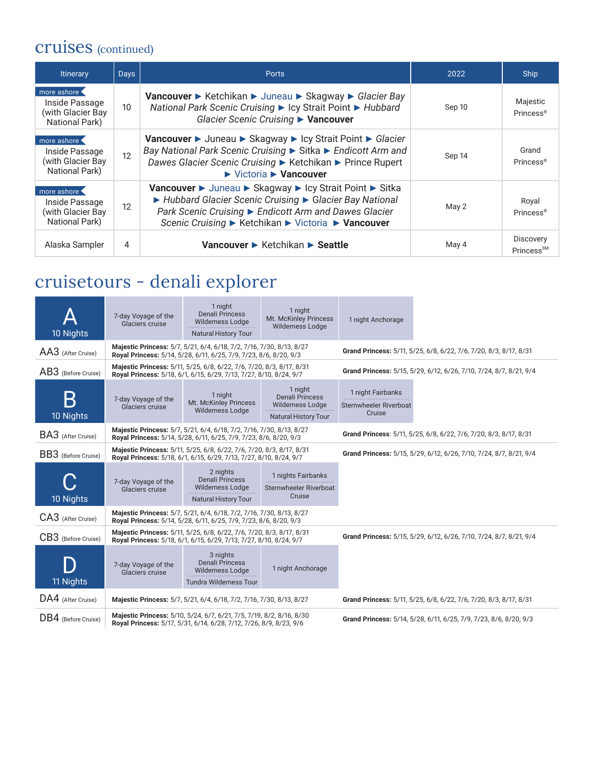### cruises (continued)

| <b>Itinerary</b>                                                     | <b>Days</b>     | <b>Ports</b>                                                                                                                                                                                                                                             | 2022   | <b>Ship</b>                        |
|----------------------------------------------------------------------|-----------------|----------------------------------------------------------------------------------------------------------------------------------------------------------------------------------------------------------------------------------------------------------|--------|------------------------------------|
| more ashore<br>Inside Passage<br>(with Glacier Bay<br>National Park) | 10 <sup>°</sup> | Vancouver ► Ketchikan ► Juneau ► Skagway ► Glacier Bay<br>National Park Scenic Cruising ► Icy Strait Point ► Hubbard<br>Glacier Scenic Cruising ▶ Vancouver                                                                                              | Sep 10 | Majestic<br>Princess <sup>®</sup>  |
| more ashore<br>Inside Passage<br>(with Glacier Bay<br>National Park) | 12              | Vancouver ► Juneau ► Skagway ► Icy Strait Point ► Glacier<br>Bay National Park Scenic Cruising ▶ Sitka ▶ Endicott Arm and<br>Dawes Glacier Scenic Cruising ► Ketchikan ► Prince Rupert<br>$\blacktriangleright$ Victoria $\blacktriangleright$ Vancouver | Sep 14 | Grand<br>Princess <sup>®</sup>     |
| more ashore<br>Inside Passage<br>(with Glacier Bay<br>National Park) | 12              | Vancouver ► Juneau ► Skagway ► Icy Strait Point ► Sitka<br>▶ Hubbard Glacier Scenic Cruising ▶ Glacier Bay National<br>Park Scenic Cruising ► Endicott Arm and Dawes Glacier<br>Scenic Cruising ► Ketchikan ► Victoria ► Vancouver                       | May 2  | Royal<br>Princess <sup>®</sup>     |
| Alaska Sampler                                                       | 4               | Vancouver ► Ketchikan ► Seattle                                                                                                                                                                                                                          | May 4  | Discovery<br>Prances <sup>SM</sup> |

## cruisetours - denali explorer

| 10 Nights           | 7-day Voyage of the<br>Glaciers cruise | 1 night<br><b>Denali Princess</b><br><b>Wilderness Lodge</b><br><b>Natural History Tour</b>                                                | 1 night<br>Mt. McKinley Princess<br><b>Wilderness Lodge</b>                                 | 1 night Anchorage                                                  |                                                                    |  |
|---------------------|----------------------------------------|--------------------------------------------------------------------------------------------------------------------------------------------|---------------------------------------------------------------------------------------------|--------------------------------------------------------------------|--------------------------------------------------------------------|--|
| AA3 (After Cruise)  |                                        | Majestic Princess: 5/7, 5/21, 6/4, 6/18, 7/2, 7/16, 7/30, 8/13, 8/27<br>Royal Princess: 5/14, 5/28, 6/11, 6/25, 7/9, 7/23, 8/6, 8/20, 9/3  |                                                                                             | Grand Princess: 5/11, 5/25, 6/8, 6/22, 7/6, 7/20, 8/3, 8/17, 8/31  |                                                                    |  |
| AB3 (Before Cruise) |                                        | Majestic Princess: 5/11, 5/25, 6/8, 6/22, 7/6, 7/20, 8/3, 8/17, 8/31<br>Royal Princess: 5/18, 6/1, 6/15, 6/29, 7/13, 7/27, 8/10, 8/24, 9/7 |                                                                                             | Grand Princess: 5/15, 5/29, 6/12, 6/26, 7/10, 7/24, 8/7, 8/21, 9/4 |                                                                    |  |
| 10 Nights           | 7-day Voyage of the<br>Glaciers cruise | 1 night<br>Mt. McKinley Princess<br><b>Wilderness Lodge</b>                                                                                | 1 night<br><b>Denali Princess</b><br><b>Wilderness Lodge</b><br><b>Natural History Tour</b> | 1 night Fairbanks<br>Sternwheeler Riverboat<br>Cruise              |                                                                    |  |
| BA3 (After Cruise)  |                                        | Majestic Princess: 5/7, 5/21, 6/4, 6/18, 7/2, 7/16, 7/30, 8/13, 8/27<br>Royal Princess: 5/14, 5/28, 6/11, 6/25, 7/9, 7/23, 8/6, 8/20, 9/3  |                                                                                             |                                                                    | Grand Princess: 5/11, 5/25, 6/8, 6/22, 7/6, 7/20, 8/3, 8/17, 8/31  |  |
| BB3 (Before Cruise) |                                        | Majestic Princess: 5/11, 5/25, 6/8, 6/22, 7/6, 7/20, 8/3, 8/17, 8/31<br>Royal Princess: 5/18, 6/1, 6/15, 6/29, 7/13, 7/27, 8/10, 8/24, 9/7 |                                                                                             |                                                                    | Grand Princess: 5/15, 5/29, 6/12, 6/26, 7/10, 7/24, 8/7, 8/21, 9/4 |  |
| 10 Nights           | 7-day Voyage of the<br>Glaciers cruise | 2 nights<br><b>Denali Princess</b><br><b>Wilderness Lodge</b><br><b>Natural History Tour</b>                                               | 1 nights Fairbanks<br>Sternwheeler Riverboat<br>Cruise                                      |                                                                    |                                                                    |  |
| CA3 (After Cruise)  |                                        | Majestic Princess: 5/7, 5/21, 6/4, 6/18, 7/2, 7/16, 7/30, 8/13, 8/27<br>Royal Princess: 5/14, 5/28, 6/11, 6/25, 7/9, 7/23, 8/6, 8/20, 9/3  |                                                                                             |                                                                    |                                                                    |  |
| CB3 (Before Cruise) |                                        | Majestic Princess: 5/11, 5/25, 6/8, 6/22, 7/6, 7/20, 8/3, 8/17, 8/31<br>Royal Princess: 5/18, 6/1, 6/15, 6/29, 7/13, 7/27, 8/10, 8/24, 9/7 |                                                                                             |                                                                    | Grand Princess: 5/15, 5/29, 6/12, 6/26, 7/10, 7/24, 8/7, 8/21, 9/4 |  |
| 11 Nights           | 7-day Voyage of the<br>Glaciers cruise | 3 nights<br><b>Denali Princess</b><br>Wilderness Lodge<br><b>Tundra Wilderness Tour</b>                                                    | 1 night Anchorage                                                                           |                                                                    |                                                                    |  |
| DA4 (After Cruise)  |                                        | Majestic Princess: 5/7, 5/21, 6/4, 6/18, 7/2, 7/16, 7/30, 8/13, 8/27                                                                       |                                                                                             |                                                                    | Grand Princess: 5/11, 5/25, 6/8, 6/22, 7/6, 7/20, 8/3, 8/17, 8/31  |  |
| DB4 (Before Cruise) |                                        | Majestic Princess: 5/10, 5/24, 6/7, 6/21, 7/5, 7/19, 8/2, 8/16, 8/30<br>Royal Princess: 5/17, 5/31, 6/14, 6/28, 7/12, 7/26, 8/9, 8/23, 9/6 |                                                                                             |                                                                    | Grand Princess: 5/14, 5/28, 6/11, 6/25, 7/9, 7/23, 8/6, 8/20, 9/3  |  |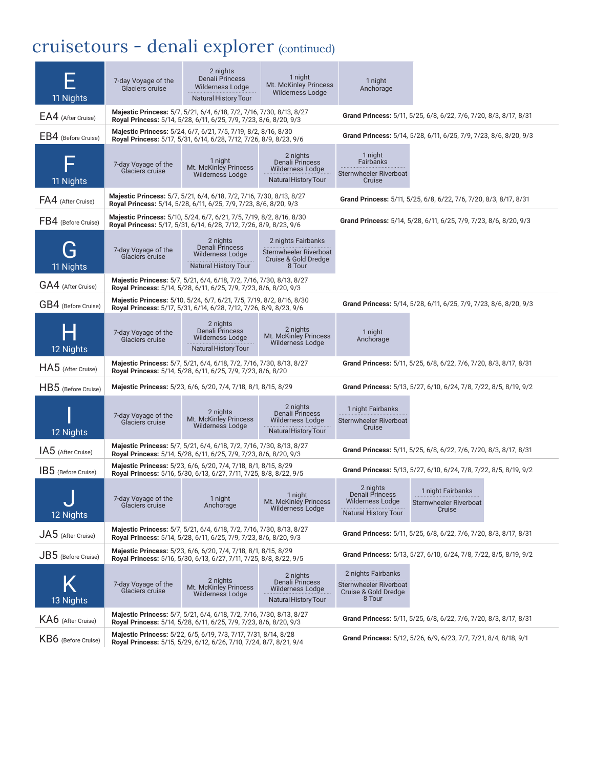## cruisetours - denali explorer (continued)

| 11 Nights                            | 7-day Voyage of the<br>Glaciers cruise | 2 nights<br><b>Denali Princess</b><br>Wilderness Lodge<br><b>Natural History Tour</b>                                                      | 1 night<br>Mt. McKinley Princess<br><b>Wilderness Lodge</b>                                  | 1 night<br>Anchorage                                                                  |                                                                   |  |
|--------------------------------------|----------------------------------------|--------------------------------------------------------------------------------------------------------------------------------------------|----------------------------------------------------------------------------------------------|---------------------------------------------------------------------------------------|-------------------------------------------------------------------|--|
| EA4 (After Cruise)                   |                                        | Majestic Princess: 5/7, 5/21, 6/4, 6/18, 7/2, 7/16, 7/30, 8/13, 8/27<br>Royal Princess: 5/14, 5/28, 6/11, 6/25, 7/9, 7/23, 8/6, 8/20, 9/3  |                                                                                              | Grand Princess: 5/11, 5/25, 6/8, 6/22, 7/6, 7/20, 8/3, 8/17, 8/31                     |                                                                   |  |
| EB4 (Before Cruise)                  |                                        | Majestic Princess: 5/24, 6/7, 6/21, 7/5, 7/19, 8/2, 8/16, 8/30<br>Royal Princess: 5/17, 5/31, 6/14, 6/28, 7/12, 7/26, 8/9, 8/23, 9/6       |                                                                                              | Grand Princess: 5/14, 5/28, 6/11, 6/25, 7/9, 7/23, 8/6, 8/20, 9/3                     |                                                                   |  |
| 11 Nights                            | 7-day Voyage of the<br>Glaciers cruise | 1 night<br>Mt. McKinley Princess<br><b>Wilderness Lodge</b>                                                                                | 2 nights<br>Denali Princess<br><b>Wilderness Lodge</b><br><b>Natural History Tour</b>        | 1 night<br>Fairbanks<br>Sternwheeler Riverboat<br>Cruise                              |                                                                   |  |
| FA4 (After Cruise)                   |                                        | Majestic Princess: 5/7, 5/21, 6/4, 6/18, 7/2, 7/16, 7/30, 8/13, 8/27<br>Royal Princess: 5/14, 5/28, 6/11, 6/25, 7/9, 7/23, 8/6, 8/20, 9/3  |                                                                                              |                                                                                       | Grand Princess: 5/11, 5/25, 6/8, 6/22, 7/6, 7/20, 8/3, 8/17, 8/31 |  |
| FB4 (Before Cruise)                  |                                        | Majestic Princess: 5/10, 5/24, 6/7, 6/21, 7/5, 7/19, 8/2, 8/16, 8/30<br>Royal Princess: 5/17, 5/31, 6/14, 6/28, 7/12, 7/26, 8/9, 8/23, 9/6 |                                                                                              |                                                                                       | Grand Princess: 5/14, 5/28, 6/11, 6/25, 7/9, 7/23, 8/6, 8/20, 9/3 |  |
| 11 Nights                            | 7-day Voyage of the<br>Glaciers cruise | 2 nights<br>Denali Princess<br><b>Wilderness Lodge</b><br><b>Natural History Tour</b>                                                      | 2 nights Fairbanks<br>Sternwheeler Riverboat<br>Cruise & Gold Dredge<br>8 Tour               |                                                                                       |                                                                   |  |
| GA4 (After Cruise)                   |                                        | Majestic Princess: 5/7, 5/21, 6/4, 6/18, 7/2, 7/16, 7/30, 8/13, 8/27<br>Royal Princess: 5/14, 5/28, 6/11, 6/25, 7/9, 7/23, 8/6, 8/20, 9/3  |                                                                                              |                                                                                       |                                                                   |  |
| GB4 (Before Cruise)                  |                                        | Majestic Princess: 5/10, 5/24, 6/7, 6/21, 7/5, 7/19, 8/2, 8/16, 8/30<br>Royal Princess: 5/17, 5/31, 6/14, 6/28, 7/12, 7/26, 8/9, 8/23, 9/6 |                                                                                              |                                                                                       | Grand Princess: 5/14, 5/28, 6/11, 6/25, 7/9, 7/23, 8/6, 8/20, 9/3 |  |
| 12 Nights                            | 7-day Voyage of the<br>Glaciers cruise | 2 nights<br>Denali Princess<br><b>Wilderness Lodge</b><br><b>Natural History Tour</b>                                                      | 2 nights<br>Mt. McKinley Princess<br>Wilderness Lodge                                        | 1 night<br>Anchorage                                                                  |                                                                   |  |
| HA5 (After Cruise)                   |                                        | Majestic Princess: 5/7, 5/21, 6/4, 6/18, 7/2, 7/16, 7/30, 8/13, 8/27<br>Royal Princess: 5/14, 5/28, 6/11, 6/25, 7/9, 7/23, 8/6, 8/20       |                                                                                              |                                                                                       | Grand Princess: 5/11, 5/25, 6/8, 6/22, 7/6, 7/20, 8/3, 8/17, 8/31 |  |
| HB5 (Before Cruise)                  |                                        | Majestic Princess: 5/23, 6/6, 6/20, 7/4, 7/18, 8/1, 8/15, 8/29                                                                             |                                                                                              |                                                                                       | Grand Princess: 5/13, 5/27, 6/10, 6/24, 7/8, 7/22, 8/5, 8/19, 9/2 |  |
| 12 Nights                            | 7-day Voyage of the<br>Glaciers cruise | 2 nights<br>Mt. McKinley Princess<br><b>Wilderness Lodge</b>                                                                               | 2 nights<br>Denali Princess<br><b>Wilderness Lodge</b><br><b>Natural History Tour</b>        | 1 night Fairbanks<br>Sternwheeler Riverboat<br>Cruise                                 |                                                                   |  |
| IA5 (After Cruise)                   |                                        | Majestic Princess: 5/7, 5/21, 6/4, 6/18, 7/2, 7/16, 7/30, 8/13, 8/27<br>Royal Princess: 5/14, 5/28, 6/11, 6/25, 7/9, 7/23, 8/6, 8/20, 9/3  |                                                                                              |                                                                                       | Grand Princess: 5/11, 5/25, 6/8, 6/22, 7/6, 7/20, 8/3, 8/17, 8/31 |  |
| IB5 (Before Cruise)                  |                                        | Majestic Princess: 5/23, 6/6, 6/20, 7/4, 7/18, 8/1, 8/15, 8/29<br>Royal Princess: 5/16, 5/30, 6/13, 6/27, 7/11, 7/25, 8/8, 8/22, 9/5       |                                                                                              |                                                                                       | Grand Princess: 5/13, 5/27, 6/10, 6/24, 7/8, 7/22, 8/5, 8/19, 9/2 |  |
| $\overline{\mathsf{v}}$<br>12 Nights | 7-day Voyage of the<br>Glaciers cruise | 1 night<br>Anchorage                                                                                                                       | 1 night<br>Mt. McKinley Princess<br><b>Wilderness Lodge</b>                                  | 2 nights<br>Denali Princess<br><b>Wilderness Lodge</b><br><b>Natural History Tour</b> | 1 night Fairbanks<br>Sternwheeler Riverboat<br>Cruise             |  |
| $JA5$ (After Cruise)                 |                                        | Majestic Princess: 5/7, 5/21, 6/4, 6/18, 7/2, 7/16, 7/30, 8/13, 8/27<br>Royal Princess: 5/14, 5/28, 6/11, 6/25, 7/9, 7/23, 8/6, 8/20, 9/3  |                                                                                              |                                                                                       | Grand Princess: 5/11, 5/25, 6/8, 6/22, 7/6, 7/20, 8/3, 8/17, 8/31 |  |
| $JB5$ (Before Cruise)                |                                        | Majestic Princess: 5/23, 6/6, 6/20, 7/4, 7/18, 8/1, 8/15, 8/29<br>Royal Princess: 5/16, 5/30, 6/13, 6/27, 7/11, 7/25, 8/8, 8/22, 9/5       |                                                                                              |                                                                                       | Grand Princess: 5/13, 5/27, 6/10, 6/24, 7/8, 7/22, 8/5, 8/19, 9/2 |  |
| 13 Nights                            | 7-day Voyage of the<br>Glaciers cruise | 2 nights<br>Mt. McKinley Princess<br><b>Wilderness Lodge</b>                                                                               | 2 nights<br><b>Denali Princess</b><br><b>Wilderness Lodge</b><br><b>Natural History Tour</b> | 2 nights Fairbanks<br>Sternwheeler Riverboat<br>Cruise & Gold Dredge<br>8 Tour        |                                                                   |  |
| KA6 (After Cruise)                   |                                        | Majestic Princess: 5/7, 5/21, 6/4, 6/18, 7/2, 7/16, 7/30, 8/13, 8/27<br>Royal Princess: 5/14, 5/28, 6/11, 6/25, 7/9, 7/23, 8/6, 8/20, 9/3  |                                                                                              |                                                                                       | Grand Princess: 5/11, 5/25, 6/8, 6/22, 7/6, 7/20, 8/3, 8/17, 8/31 |  |
| KB6 (Before Cruise)                  |                                        | Majestic Princess: 5/22, 6/5, 6/19, 7/3, 7/17, 7/31, 8/14, 8/28<br>Royal Princess: 5/15, 5/29, 6/12, 6/26, 7/10, 7/24, 8/7, 8/21, 9/4      |                                                                                              |                                                                                       | Grand Princess: 5/12, 5/26, 6/9, 6/23, 7/7, 7/21, 8/4, 8/18, 9/1  |  |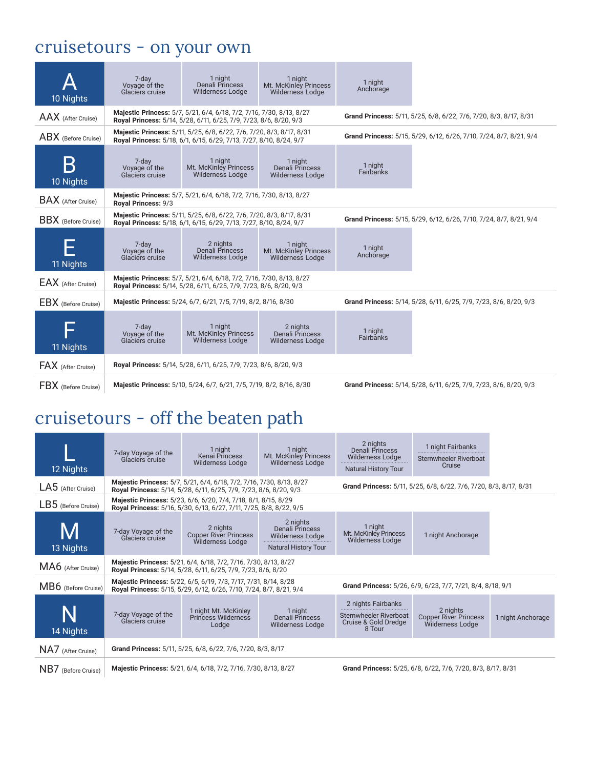### cruisetours - on your own

| 10 Nights                  | 7-day<br>Voyage of the<br>Glaciers cruise                         | 1 night<br><b>Denali Princess</b><br><b>Wilderness Lodge</b>                                                                               | 1 night<br>Mt. McKinley Princess<br><b>Wilderness Lodge</b> | 1 night<br>Anchorage |                                                                    |
|----------------------------|-------------------------------------------------------------------|--------------------------------------------------------------------------------------------------------------------------------------------|-------------------------------------------------------------|----------------------|--------------------------------------------------------------------|
| AAX (After Cruise)         |                                                                   | Majestic Princess: 5/7, 5/21, 6/4, 6/18, 7/2, 7/16, 7/30, 8/13, 8/27<br>Royal Princess: 5/14, 5/28, 6/11, 6/25, 7/9, 7/23, 8/6, 8/20, 9/3  |                                                             |                      | Grand Princess: 5/11, 5/25, 6/8, 6/22, 7/6, 7/20, 8/3, 8/17, 8/31  |
| ABX (Before Cruise)        |                                                                   | Majestic Princess: 5/11, 5/25, 6/8, 6/22, 7/6, 7/20, 8/3, 8/17, 8/31<br>Royal Princess: 5/18, 6/1, 6/15, 6/29, 7/13, 7/27, 8/10, 8/24, 9/7 |                                                             |                      | Grand Princess: 5/15, 5/29, 6/12, 6/26, 7/10, 7/24, 8/7, 8/21, 9/4 |
| 10 Nights                  | 7-day<br>Voyage of the<br>Glaciers cruise                         | 1 night<br>Mt. McKinley Princess<br><b>Wilderness Lodge</b>                                                                                | 1 night<br>Denali Princess<br><b>Wilderness Lodge</b>       | 1 night<br>Fairbanks |                                                                    |
| <b>BAX</b> (After Cruise)  | Royal Princess: 9/3                                               | Majestic Princess: 5/7, 5/21, 6/4, 6/18, 7/2, 7/16, 7/30, 8/13, 8/27                                                                       |                                                             |                      |                                                                    |
| <b>BBX</b> (Before Cruise) |                                                                   | Majestic Princess: 5/11, 5/25, 6/8, 6/22, 7/6, 7/20, 8/3, 8/17, 8/31<br>Royal Princess: 5/18, 6/1, 6/15, 6/29, 7/13, 7/27, 8/10, 8/24, 9/7 |                                                             |                      | Grand Princess: 5/15, 5/29, 6/12, 6/26, 7/10, 7/24, 8/7, 8/21, 9/4 |
| 11 Nights                  | 7-day<br>Voyage of the<br>Glaciers cruise                         | 2 nights<br>Denali Princess<br><b>Wilderness Lodge</b>                                                                                     | 1 night<br>Mt. McKinley Princess<br><b>Wilderness Lodge</b> | 1 night<br>Anchorage |                                                                    |
| EAX (After Cruise)         |                                                                   | Majestic Princess: 5/7, 5/21, 6/4, 6/18, 7/2, 7/16, 7/30, 8/13, 8/27<br>Royal Princess: 5/14, 5/28, 6/11, 6/25, 7/9, 7/23, 8/6, 8/20, 9/3  |                                                             |                      |                                                                    |
| <b>EBX</b> (Before Cruise) |                                                                   | Majestic Princess: 5/24, 6/7, 6/21, 7/5, 7/19, 8/2, 8/16, 8/30                                                                             |                                                             |                      | Grand Princess: 5/14, 5/28, 6/11, 6/25, 7/9, 7/23, 8/6, 8/20, 9/3  |
| 11 Nights                  | 7-day<br>Vovage of the<br>Glaciers cruise                         | 1 night<br>Mt. McKinley Princess<br><b>Wilderness Lodge</b>                                                                                | 2 nights<br>Denali Princess<br><b>Wilderness Lodge</b>      | 1 night<br>Fairbanks |                                                                    |
| <b>FAX</b> (After Cruise)  | Royal Princess: 5/14, 5/28, 6/11, 6/25, 7/9, 7/23, 8/6, 8/20, 9/3 |                                                                                                                                            |                                                             |                      |                                                                    |
| FBX (Before Cruise)        |                                                                   | Majestic Princess: 5/10, 5/24, 6/7, 6/21, 7/5, 7/19, 8/2, 8/16, 8/30                                                                       |                                                             |                      | Grand Princess: 5/14, 5/28, 6/11, 6/25, 7/9, 7/23, 8/6, 8/20, 9/3  |

### cruisetours - off the beaten path

| 12 Nights            | 7-day Voyage of the<br>Glaciers cruise                                                                                         | 1 night<br>Kenai Princess<br><b>Wilderness Lodge</b>                                                                                      | 1 night<br>Mt. McKinley Princess<br><b>Wilderness Lodge</b>                    | 2 nights<br>Denali Princess<br><b>Wilderness Lodge</b><br><b>Natural History Tour</b> | 1 night Fairbanks<br>Sternwheeler Riverboat<br>Cruise             |                   |  |  |
|----------------------|--------------------------------------------------------------------------------------------------------------------------------|-------------------------------------------------------------------------------------------------------------------------------------------|--------------------------------------------------------------------------------|---------------------------------------------------------------------------------------|-------------------------------------------------------------------|-------------------|--|--|
| $LA5$ (After Cruise) |                                                                                                                                | Majestic Princess: 5/7, 5/21, 6/4, 6/18, 7/2, 7/16, 7/30, 8/13, 8/27<br>Royal Princess: 5/14, 5/28, 6/11, 6/25, 7/9, 7/23, 8/6, 8/20, 9/3 |                                                                                |                                                                                       | Grand Princess: 5/11, 5/25, 6/8, 6/22, 7/6, 7/20, 8/3, 8/17, 8/31 |                   |  |  |
| LB5 (Before Cruise)  |                                                                                                                                | Majestic Princess: 5/23, 6/6, 6/20, 7/4, 7/18, 8/1, 8/15, 8/29<br>Royal Princess: 5/16, 5/30, 6/13, 6/27, 7/11, 7/25, 8/8, 8/22, 9/5      |                                                                                |                                                                                       |                                                                   |                   |  |  |
| 13 Nights            | 7-day Voyage of the<br>Glaciers cruise                                                                                         | 2 nights<br><b>Copper River Princess</b><br>Wilderness Lodge                                                                              | 2 nights<br>Denali Princess<br>Wilderness Lodge<br><b>Natural History Tour</b> | 1 night<br>Mt. McKinley Princess<br><b>Wilderness Lodge</b>                           | 1 night Anchorage                                                 |                   |  |  |
| MA6 (After Cruise)   |                                                                                                                                | Majestic Princess: 5/21, 6/4, 6/18, 7/2, 7/16, 7/30, 8/13, 8/27<br>Royal Princess: 5/14, 5/28, 6/11, 6/25, 7/9, 7/23, 8/6, 8/20           |                                                                                |                                                                                       |                                                                   |                   |  |  |
| MB6 (Before Cruise)  |                                                                                                                                | Majestic Princess: 5/22, 6/5, 6/19, 7/3, 7/17, 7/31, 8/14, 8/28<br>Royal Princess: 5/15, 5/29, 6/12, 6/26, 7/10, 7/24, 8/7, 8/21, 9/4     |                                                                                |                                                                                       | Grand Princess: 5/26, 6/9, 6/23, 7/7, 7/21, 8/4, 8/18, 9/1        |                   |  |  |
| 14 Nights            | 7-day Voyage of the<br>Glaciers cruise                                                                                         | 1 night Mt. McKinley<br>Princess Wilderness<br>Lodge                                                                                      | 1 night<br>Denali Princess<br><b>Wilderness Lodge</b>                          | 2 nights Fairbanks<br>Sternwheeler Riverboat<br>Cruise & Gold Dredge<br>8 Tour        | 2 nights<br><b>Copper River Princess</b><br>Wilderness Lodge      | 1 night Anchorage |  |  |
| NA7 (After Cruise)   | Grand Princess: 5/11, 5/25, 6/8, 6/22, 7/6, 7/20, 8/3, 8/17                                                                    |                                                                                                                                           |                                                                                |                                                                                       |                                                                   |                   |  |  |
| NB7 (Before Cruise)  | Majestic Princess: 5/21, 6/4, 6/18, 7/2, 7/16, 7/30, 8/13, 8/27<br>Grand Princess: 5/25, 6/8, 6/22, 7/6, 7/20, 8/3, 8/17, 8/31 |                                                                                                                                           |                                                                                |                                                                                       |                                                                   |                   |  |  |